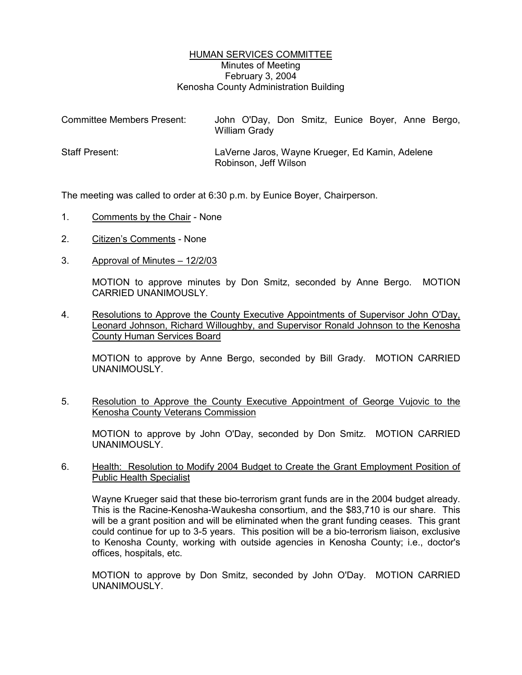## HUMAN SERVICES COMMITTEE Minutes of Meeting February 3, 2004 Kenosha County Administration Building

| <b>Committee Members Present:</b> | John O'Day, Don Smitz, Eunice Boyer, Anne Bergo,<br>William Grady        |
|-----------------------------------|--------------------------------------------------------------------------|
| <b>Staff Present:</b>             | LaVerne Jaros, Wayne Krueger, Ed Kamin, Adelene<br>Robinson, Jeff Wilson |

The meeting was called to order at 6:30 p.m. by Eunice Boyer, Chairperson.

- 1. Comments by the Chair None
- 2. Citizen's Comments None
- 3. Approval of Minutes 12/2/03

MOTION to approve minutes by Don Smitz, seconded by Anne Bergo. MOTION CARRIED UNANIMOUSLY.

4. Resolutions to Approve the County Executive Appointments of Supervisor John O'Day, Leonard Johnson, Richard Willoughby, and Supervisor Ronald Johnson to the Kenosha County Human Services Board

MOTION to approve by Anne Bergo, seconded by Bill Grady. MOTION CARRIED UNANIMOUSLY.

5. Resolution to Approve the County Executive Appointment of George Vujovic to the Kenosha County Veterans Commission

MOTION to approve by John O'Day, seconded by Don Smitz. MOTION CARRIED UNANIMOUSLY.

## 6. Health: Resolution to Modify 2004 Budget to Create the Grant Employment Position of Public Health Specialist

Wayne Krueger said that these bio-terrorism grant funds are in the 2004 budget already. This is the Racine-Kenosha-Waukesha consortium, and the \$83,710 is our share. This will be a grant position and will be eliminated when the grant funding ceases. This grant could continue for up to 3-5 years. This position will be a bio-terrorism liaison, exclusive to Kenosha County, working with outside agencies in Kenosha County; i.e., doctor's offices, hospitals, etc.

MOTION to approve by Don Smitz, seconded by John O'Day. MOTION CARRIED UNANIMOUSLY.